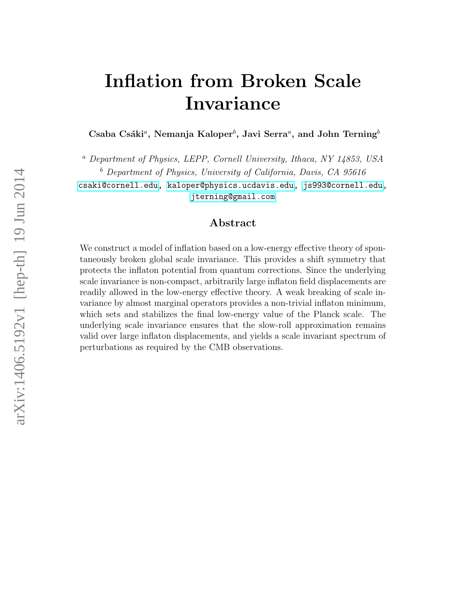# Inflation from Broken Scale Invariance

Csaba Csáki<sup>a</sup>, Nemanja Kaloper<sup>b</sup>, Javi Serra<sup>a</sup>, and John Terning<sup>b</sup>

<sup>a</sup> Department of Physics, LEPP, Cornell University, Ithaca, NY 14853, USA  $b$  Department of Physics, University of California, Davis, CA 95616

[csaki@cornell.edu, kaloper@physics.ucdavis.edu,](mailto:csaki@cornell.edu) [js993@cornell.edu,](mailto:js993@cornell.edu) [jterning@gmail.com](mailto:jterning@gmail.com)

## Abstract

We construct a model of inflation based on a low-energy effective theory of spontaneously broken global scale invariance. This provides a shift symmetry that protects the inflaton potential from quantum corrections. Since the underlying scale invariance is non-compact, arbitrarily large inflaton field displacements are readily allowed in the low-energy effective theory. A weak breaking of scale invariance by almost marginal operators provides a non-trivial inflaton minimum, which sets and stabilizes the final low-energy value of the Planck scale. The underlying scale invariance ensures that the slow-roll approximation remains valid over large inflaton displacements, and yields a scale invariant spectrum of perturbations as required by the CMB observations.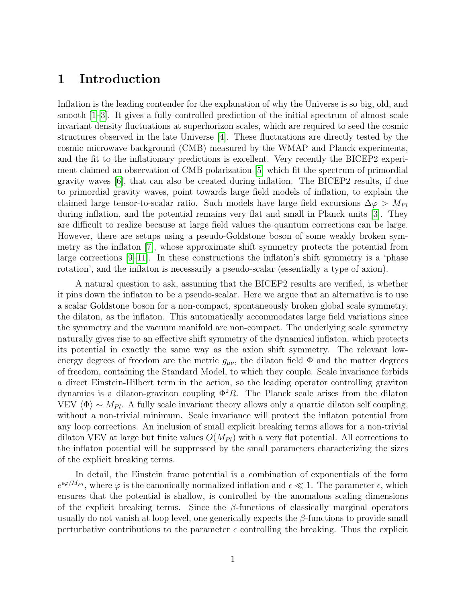# 1 Introduction

Inflation is the leading contender for the explanation of why the Universe is so big, old, and smooth [\[1](#page-16-0)[–3\]](#page-17-0). It gives a fully controlled prediction of the initial spectrum of almost scale invariant density fluctuations at superhorizon scales, which are required to seed the cosmic structures observed in the late Universe [\[4\]](#page-17-1). These fluctuations are directly tested by the cosmic microwave background (CMB) measured by the WMAP and Planck experiments, and the fit to the inflationary predictions is excellent. Very recently the BICEP2 experiment claimed an observation of CMB polarization [\[5\]](#page-17-2) which fit the spectrum of primordial gravity waves [\[6\]](#page-17-3), that can also be created during inflation. The BICEP2 results, if due to primordial gravity waves, point towards large field models of inflation, to explain the claimed large tensor-to-scalar ratio. Such models have large field excursions  $\Delta \varphi > M_{Pl}$ during inflation, and the potential remains very flat and small in Planck units [\[3\]](#page-17-0). They are difficult to realize because at large field values the quantum corrections can be large. However, there are setups using a pseudo-Goldstone boson of some weakly broken symmetry as the inflaton [\[7\]](#page-17-4), whose approximate shift symmetry protects the potential from large corrections [\[9](#page-17-5)[–11\]](#page-17-6). In these constructions the inflaton's shift symmetry is a 'phase rotation', and the inflaton is necessarily a pseudo-scalar (essentially a type of axion).

A natural question to ask, assuming that the BICEP2 results are verified, is whether it pins down the inflaton to be a pseudo-scalar. Here we argue that an alternative is to use a scalar Goldstone boson for a non-compact, spontaneously broken global scale symmetry, the dilaton, as the inflaton. This automatically accommodates large field variations since the symmetry and the vacuum manifold are non-compact. The underlying scale symmetry naturally gives rise to an effective shift symmetry of the dynamical inflaton, which protects its potential in exactly the same way as the axion shift symmetry. The relevant lowenergy degrees of freedom are the metric  $g_{\mu\nu}$ , the dilaton field  $\Phi$  and the matter degrees of freedom, containing the Standard Model, to which they couple. Scale invariance forbids a direct Einstein-Hilbert term in the action, so the leading operator controlling graviton dynamics is a dilaton-graviton coupling  $\Phi^2 R$ . The Planck scale arises from the dilaton VEV  $\langle \Phi \rangle \sim M_{Pl}$ . A fully scale invariant theory allows only a quartic dilaton self coupling, without a non-trivial minimum. Scale invariance will protect the inflaton potential from any loop corrections. An inclusion of small explicit breaking terms allows for a non-trivial dilaton VEV at large but finite values  $O(M_{Pl})$  with a very flat potential. All corrections to the inflaton potential will be suppressed by the small parameters characterizing the sizes of the explicit breaking terms.

In detail, the Einstein frame potential is a combination of exponentials of the form  $e^{\epsilon \varphi/M_{Pl}}$ , where  $\varphi$  is the canonically normalized inflation and  $\epsilon \ll 1$ . The parameter  $\epsilon$ , which ensures that the potential is shallow, is controlled by the anomalous scaling dimensions of the explicit breaking terms. Since the  $\beta$ -functions of classically marginal operators usually do not vanish at loop level, one generically expects the  $\beta$ -functions to provide small perturbative contributions to the parameter  $\epsilon$  controlling the breaking. Thus the explicit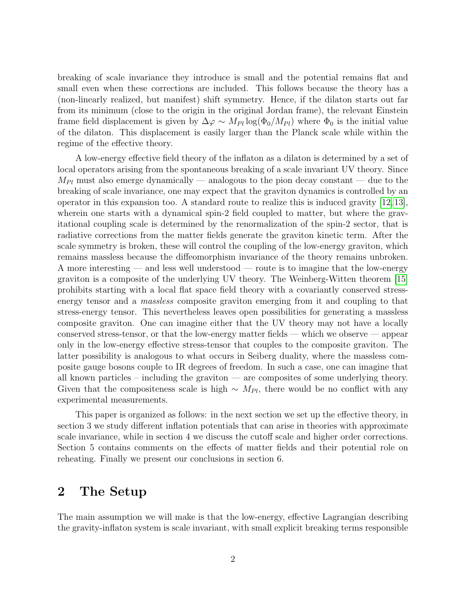breaking of scale invariance they introduce is small and the potential remains flat and small even when these corrections are included. This follows because the theory has a (non-linearly realized, but manifest) shift symmetry. Hence, if the dilaton starts out far from its minimum (close to the origin in the original Jordan frame), the relevant Einstein frame field displacement is given by  $\Delta \varphi \sim M_{Pl} \log(\Phi_0/M_{Pl})$  where  $\Phi_0$  is the initial value of the dilaton. This displacement is easily larger than the Planck scale while within the regime of the effective theory.

A low-energy effective field theory of the inflaton as a dilaton is determined by a set of local operators arising from the spontaneous breaking of a scale invariant UV theory. Since  $M_{Pl}$  must also emerge dynamically — analogous to the pion decay constant — due to the breaking of scale invariance, one may expect that the graviton dynamics is controlled by an operator in this expansion too. A standard route to realize this is induced gravity [\[12,](#page-17-7) [13\]](#page-17-8), wherein one starts with a dynamical spin-2 field coupled to matter, but where the gravitational coupling scale is determined by the renormalization of the spin-2 sector, that is radiative corrections from the matter fields generate the graviton kinetic term. After the scale symmetry is broken, these will control the coupling of the low-energy graviton, which remains massless because the diffeomorphism invariance of the theory remains unbroken. A more interesting — and less well understood — route is to imagine that the low-energy graviton is a composite of the underlying UV theory. The Weinberg-Witten theorem [\[15\]](#page-17-9) prohibits starting with a local flat space field theory with a covariantly conserved stressenergy tensor and a massless composite graviton emerging from it and coupling to that stress-energy tensor. This nevertheless leaves open possibilities for generating a massless composite graviton. One can imagine either that the UV theory may not have a locally conserved stress-tensor, or that the low-energy matter fields — which we observe — appear only in the low-energy effective stress-tensor that couples to the composite graviton. The latter possibility is analogous to what occurs in Seiberg duality, where the massless composite gauge bosons couple to IR degrees of freedom. In such a case, one can imagine that all known particles – including the graviton — are composites of some underlying theory. Given that the compositeness scale is high  $\sim M_{Pl}$ , there would be no conflict with any experimental measurements.

This paper is organized as follows: in the next section we set up the effective theory, in section 3 we study different inflation potentials that can arise in theories with approximate scale invariance, while in section 4 we discuss the cutoff scale and higher order corrections. Section 5 contains comments on the effects of matter fields and their potential role on reheating. Finally we present our conclusions in section 6.

# 2 The Setup

The main assumption we will make is that the low-energy, effective Lagrangian describing the gravity-inflaton system is scale invariant, with small explicit breaking terms responsible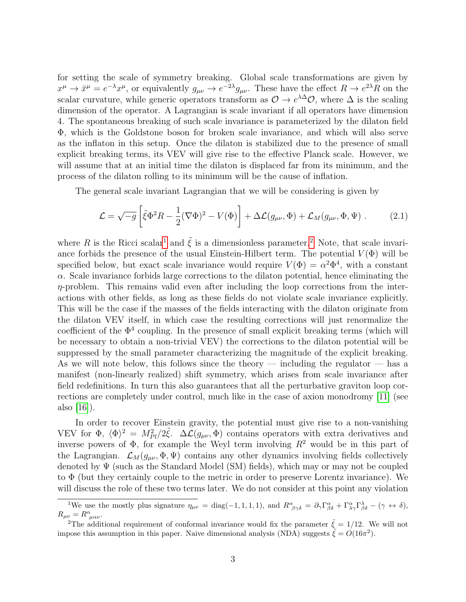for setting the scale of symmetry breaking. Global scale transformations are given by  $x^{\mu} \to \bar{x}^{\mu} = e^{-\lambda} x^{\mu}$ , or equivalently  $g_{\mu\nu} \to e^{-2\lambda} g_{\mu\nu}$ . These have the effect  $R \to e^{2\lambda} R$  on the scalar curvature, while generic operators transform as  $\mathcal{O} \to e^{\lambda \Delta} \mathcal{O}$ , where  $\Delta$  is the scaling dimension of the operator. A Lagrangian is scale invariant if all operators have dimension 4. The spontaneous breaking of such scale invariance is parameterized by the dilaton field Φ, which is the Goldstone boson for broken scale invariance, and which will also serve as the inflaton in this setup. Once the dilaton is stabilized due to the presence of small explicit breaking terms, its VEV will give rise to the effective Planck scale. However, we will assume that at an initial time the dilaton is displaced far from its minimum, and the process of the dilaton rolling to its minimum will be the cause of inflation.

The general scale invariant Lagrangian that we will be considering is given by

<span id="page-3-2"></span>
$$
\mathcal{L} = \sqrt{-g} \left[ \tilde{\xi} \Phi^2 R - \frac{1}{2} (\nabla \Phi)^2 - V(\Phi) \right] + \Delta \mathcal{L}(g_{\mu\nu}, \Phi) + \mathcal{L}_M(g_{\mu\nu}, \Phi, \Psi) \ . \tag{2.1}
$$

where R is the Ricci scalar<sup>[1](#page-3-0)</sup> and  $\tilde{\xi}$  is a dimensionless parameter.<sup>[2](#page-3-1)</sup> Note, that scale invariance forbids the presence of the usual Einstein-Hilbert term. The potential  $V(\Phi)$  will be specified below, but exact scale invariance would require  $V(\Phi) = \alpha^2 \Phi^4$ , with a constant  $\alpha$ . Scale invariance forbids large corrections to the dilaton potential, hence eliminating the  $\eta$ -problem. This remains valid even after including the loop corrections from the interactions with other fields, as long as these fields do not violate scale invariance explicitly. This will be the case if the masses of the fields interacting with the dilaton originate from the dilaton VEV itself, in which case the resulting corrections will just renormalize the coefficient of the  $\Phi^4$  coupling. In the presence of small explicit breaking terms (which will be necessary to obtain a non-trivial VEV) the corrections to the dilaton potential will be suppressed by the small parameter characterizing the magnitude of the explicit breaking. As we will note below, this follows since the theory — including the regulator — has a manifest (non-linearly realized) shift symmetry, which arises from scale invariance after field redefinitions. In turn this also guarantees that all the perturbative graviton loop corrections are completely under control, much like in the case of axion monodromy [\[11\]](#page-17-6) (see also  $|16|$ ).

In order to recover Einstein gravity, the potential must give rise to a non-vanishing VEV for  $\Phi$ ,  $\langle \Phi \rangle^2 = M_{Pl}^2/2 \tilde{\xi}$ .  $\Delta \mathcal{L}(g_{\mu\nu}, \Phi)$  contains operators with extra derivatives and inverse powers of  $\Phi$ , for example the Weyl term involving  $R^2$  would be in this part of the Lagrangian.  $\mathcal{L}_M(g_{\mu\nu}, \Phi, \Psi)$  contains any other dynamics involving fields collectively denoted by  $\Psi$  (such as the Standard Model (SM) fields), which may or may not be coupled to Φ (but they certainly couple to the metric in order to preserve Lorentz invariance). We will discuss the role of these two terms later. We do not consider at this point any violation

<span id="page-3-0"></span><sup>&</sup>lt;sup>1</sup>We use the mostly plus signature  $\eta_{\mu\nu} = \text{diag}(-1, 1, 1, 1)$ , and  $R^{\alpha}_{\beta\gamma\delta} = \partial_{\gamma}\Gamma^{\alpha}_{\beta\delta} + \Gamma^{\alpha}_{\lambda\gamma}\Gamma^{\lambda}_{\beta\delta} - (\gamma \leftrightarrow \delta)$ ,  $R_{\mu\nu} = R^{\alpha}_{\ \mu\alpha\nu}.$ 

<span id="page-3-1"></span><sup>&</sup>lt;sup>2</sup>The additional requirement of conformal invariance would fix the parameter  $\tilde{\xi} = 1/12$ . We will not impose this assumption in this paper. Naive dimensional analysis (NDA) suggests  $\tilde{\xi} = O(16\pi^2)$ .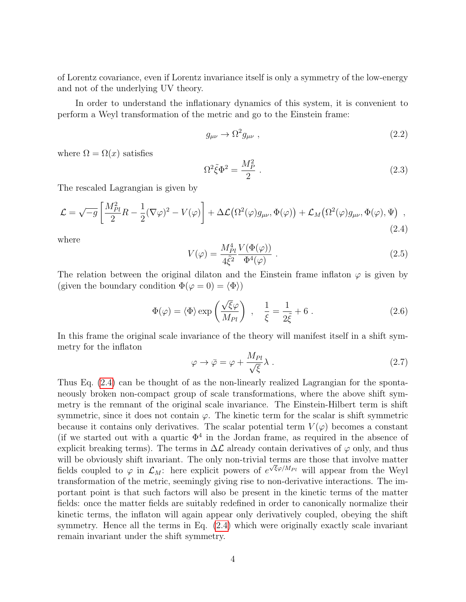of Lorentz covariance, even if Lorentz invariance itself is only a symmetry of the low-energy and not of the underlying UV theory.

In order to understand the inflationary dynamics of this system, it is convenient to perform a Weyl transformation of the metric and go to the Einstein frame:

$$
g_{\mu\nu} \to \Omega^2 g_{\mu\nu} \tag{2.2}
$$

where  $\Omega = \Omega(x)$  satisfies

$$
\Omega^2 \tilde{\xi} \Phi^2 = \frac{M_P^2}{2} \tag{2.3}
$$

The rescaled Lagrangian is given by

<span id="page-4-0"></span>
$$
\mathcal{L} = \sqrt{-g} \left[ \frac{M_{Pl}^2}{2} R - \frac{1}{2} (\nabla \varphi)^2 - V(\varphi) \right] + \Delta \mathcal{L} \left( \Omega^2(\varphi) g_{\mu\nu}, \Phi(\varphi) \right) + \mathcal{L}_M \left( \Omega^2(\varphi) g_{\mu\nu}, \Phi(\varphi), \Psi \right) , \tag{2.4}
$$

where

$$
V(\varphi) = \frac{M_{Pl}^4}{4\tilde{\xi}^2} \frac{V(\Phi(\varphi))}{\Phi^4(\varphi)} .
$$
\n(2.5)

The relation between the original dilaton and the Einstein frame inflaton  $\varphi$  is given by (given the boundary condition  $\Phi(\varphi = 0) = \langle \Phi \rangle$ )

<span id="page-4-2"></span>
$$
\Phi(\varphi) = \langle \Phi \rangle \exp\left(\frac{\sqrt{\xi}\varphi}{M_{Pl}}\right) , \quad \frac{1}{\xi} = \frac{1}{2\tilde{\xi}} + 6 . \tag{2.6}
$$

In this frame the original scale invariance of the theory will manifest itself in a shift symmetry for the inflaton

<span id="page-4-1"></span>
$$
\varphi \to \bar{\varphi} = \varphi + \frac{M_{Pl}}{\sqrt{\xi}} \lambda . \tag{2.7}
$$

Thus Eq. [\(2.4\)](#page-4-0) can be thought of as the non-linearly realized Lagrangian for the spontaneously broken non-compact group of scale transformations, where the above shift symmetry is the remnant of the original scale invariance. The Einstein-Hilbert term is shift symmetric, since it does not contain  $\varphi$ . The kinetic term for the scalar is shift symmetric because it contains only derivatives. The scalar potential term  $V(\varphi)$  becomes a constant (if we started out with a quartic  $\Phi^4$  in the Jordan frame, as required in the absence of explicit breaking terms). The terms in  $\Delta\mathcal{L}$  already contain derivatives of  $\varphi$  only, and thus will be obviously shift invariant. The only non-trivial terms are those that involve matter fields coupled to  $\varphi$  in  $\mathcal{L}_M$ : here explicit powers of  $e^{\sqrt{\xi}\varphi/M_{Pl}}$  will appear from the Weyl transformation of the metric, seemingly giving rise to non-derivative interactions. The important point is that such factors will also be present in the kinetic terms of the matter fields: once the matter fields are suitably redefined in order to canonically normalize their kinetic terms, the inflaton will again appear only derivatively coupled, obeying the shift symmetry. Hence all the terms in Eq.  $(2.4)$  which were originally exactly scale invariant remain invariant under the shift symmetry.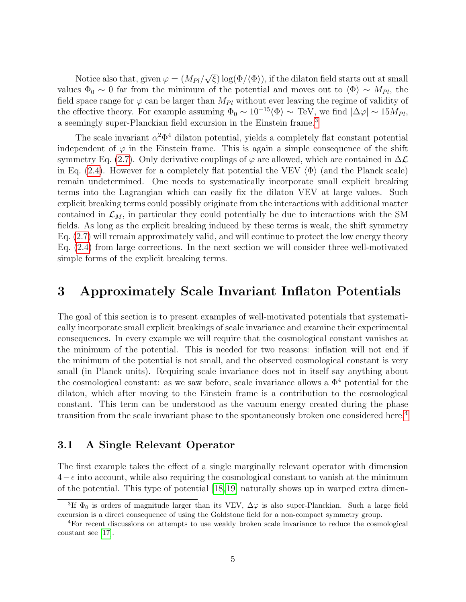Notice also that, given  $\varphi = (M_{Pl}/$ √  $\langle \xi \rangle$  log( $\Phi/\langle \Phi \rangle$ ), if the dilaton field starts out at small values  $\Phi_0 \sim 0$  far from the minimum of the potential and moves out to  $\langle \Phi \rangle \sim M_{Pl}$ , the field space range for  $\varphi$  can be larger than  $M_{Pl}$  without ever leaving the regime of validity of the effective theory. For example assuming  $\Phi_0 \sim 10^{-15} \langle \Phi \rangle \sim \text{TeV}$ , we find  $|\Delta \varphi| \sim 15 M_{Pl}$ , a seemingly super-Planckian field excursion in the Einstein frame.<sup>[3](#page-5-0)</sup>

The scale invariant  $\alpha^2 \Phi^4$  dilaton potential, yields a completely flat constant potential independent of  $\varphi$  in the Einstein frame. This is again a simple consequence of the shift symmetry Eq. [\(2.7\)](#page-4-1). Only derivative couplings of  $\varphi$  are allowed, which are contained in  $\Delta\mathcal{L}$ in Eq. [\(2.4\)](#page-4-0). However for a completely flat potential the VEV  $\langle \Phi \rangle$  (and the Planck scale) remain undetermined. One needs to systematically incorporate small explicit breaking terms into the Lagrangian which can easily fix the dilaton VEV at large values. Such explicit breaking terms could possibly originate from the interactions with additional matter contained in  $\mathcal{L}_M$ , in particular they could potentially be due to interactions with the SM fields. As long as the explicit breaking induced by these terms is weak, the shift symmetry Eq. [\(2.7\)](#page-4-1) will remain approximately valid, and will continue to protect the low energy theory Eq. [\(2.4\)](#page-4-0) from large corrections. In the next section we will consider three well-motivated simple forms of the explicit breaking terms.

## 3 Approximately Scale Invariant Inflaton Potentials

The goal of this section is to present examples of well-motivated potentials that systematically incorporate small explicit breakings of scale invariance and examine their experimental consequences. In every example we will require that the cosmological constant vanishes at the minimum of the potential. This is needed for two reasons: inflation will not end if the minimum of the potential is not small, and the observed cosmological constant is very small (in Planck units). Requiring scale invariance does not in itself say anything about the cosmological constant: as we saw before, scale invariance allows a  $\Phi^4$  potential for the dilaton, which after moving to the Einstein frame is a contribution to the cosmological constant. This term can be understood as the vacuum energy created during the phase transition from the scale invariant phase to the spontaneously broken one considered here.[4](#page-5-1)

#### <span id="page-5-2"></span>3.1 A Single Relevant Operator

The first example takes the effect of a single marginally relevant operator with dimension  $4-\epsilon$  into account, while also requiring the cosmological constant to vanish at the minimum of the potential. This type of potential [\[18,](#page-18-0)[19\]](#page-18-1) naturally shows up in warped extra dimen-

<span id="page-5-0"></span><sup>&</sup>lt;sup>3</sup>If  $\Phi_0$  is orders of magnitude larger than its VEV,  $\Delta\varphi$  is also super-Planckian. Such a large field excursion is a direct consequence of using the Goldstone field for a non-compact symmetry group.

<span id="page-5-1"></span><sup>4</sup>For recent discussions on attempts to use weakly broken scale invariance to reduce the cosmological constant see [\[17\]](#page-17-11).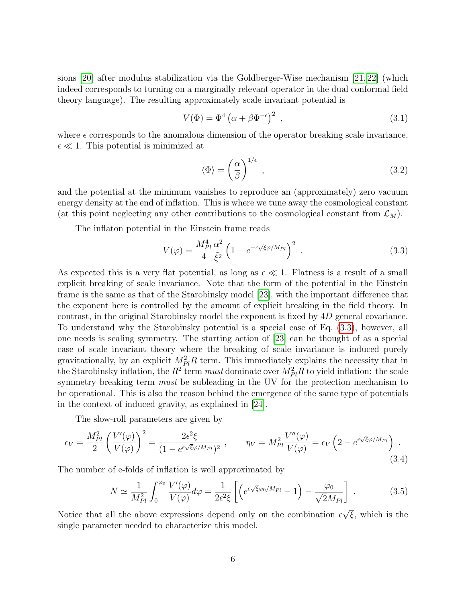sions [\[20\]](#page-18-2) after modulus stabilization via the Goldberger-Wise mechanism [\[21,](#page-18-3) [22\]](#page-18-4) (which indeed corresponds to turning on a marginally relevant operator in the dual conformal field theory language). The resulting approximately scale invariant potential is

$$
V(\Phi) = \Phi^4 \left( \alpha + \beta \Phi^{-\epsilon} \right)^2 , \qquad (3.1)
$$

where  $\epsilon$  corresponds to the anomalous dimension of the operator breaking scale invariance,  $\epsilon \ll 1$ . This potential is minimized at

<span id="page-6-1"></span>
$$
\langle \Phi \rangle = \left(\frac{\alpha}{\beta}\right)^{1/\epsilon},\tag{3.2}
$$

and the potential at the minimum vanishes to reproduce an (approximately) zero vacuum energy density at the end of inflation. This is where we tune away the cosmological constant (at this point neglecting any other contributions to the cosmological constant from  $\mathcal{L}_M$ ).

The inflaton potential in the Einstein frame reads

<span id="page-6-0"></span>
$$
V(\varphi) = \frac{M_{Pl}^4}{4} \frac{\alpha^2}{\tilde{\xi}^2} \left( 1 - e^{-\epsilon \sqrt{\xi} \varphi / M_{Pl}} \right)^2 \tag{3.3}
$$

As expected this is a very flat potential, as long as  $\epsilon \ll 1$ . Flatness is a result of a small explicit breaking of scale invariance. Note that the form of the potential in the Einstein frame is the same as that of the Starobinsky model [\[23\]](#page-18-5), with the important difference that the exponent here is controlled by the amount of explicit breaking in the field theory. In contrast, in the original Starobinsky model the exponent is fixed by 4D general covariance. To understand why the Starobinsky potential is a special case of Eq. [\(3.3\)](#page-6-0), however, all one needs is scaling symmetry. The starting action of [\[23\]](#page-18-5) can be thought of as a special case of scale invariant theory where the breaking of scale invariance is induced purely gravitationally, by an explicit  $M_{Pl}^2 R$  term. This immediately explains the necessity that in the Starobinsky inflation, the  $R^2$  term *must* dominate over  $M_{Pl}^2 R$  to yield inflation: the scale symmetry breaking term *must* be subleading in the UV for the protection mechanism to be operational. This is also the reason behind the emergence of the same type of potentials in the context of induced gravity, as explained in [\[24\]](#page-18-6).

The slow-roll parameters are given by

$$
\epsilon_V = \frac{M_{Pl}^2}{2} \left( \frac{V'(\varphi)}{V(\varphi)} \right)^2 = \frac{2\epsilon^2 \xi}{(1 - e^{\epsilon \sqrt{\xi} \varphi / M_{Pl}})^2} , \qquad \eta_V = M_{Pl}^2 \frac{V''(\varphi)}{V(\varphi)} = \epsilon_V \left( 2 - e^{\epsilon \sqrt{\xi} \varphi / M_{Pl}} \right) . \tag{3.4}
$$

The number of e-folds of inflation is well approximated by

$$
N \simeq \frac{1}{M_{Pl}^2} \int_0^{\varphi_0} \frac{V'(\varphi)}{V(\varphi)} d\varphi = \frac{1}{2\epsilon^2 \xi} \left[ \left( e^{\epsilon \sqrt{\xi} \varphi_0 / M_{Pl}} - 1 \right) - \frac{\varphi_0}{\sqrt{2} M_{Pl}} \right] . \tag{3.5}
$$

Notice that all the above expressions depend only on the combination  $\epsilon$  $\overline{\xi}$ , which is the single parameter needed to characterize this model.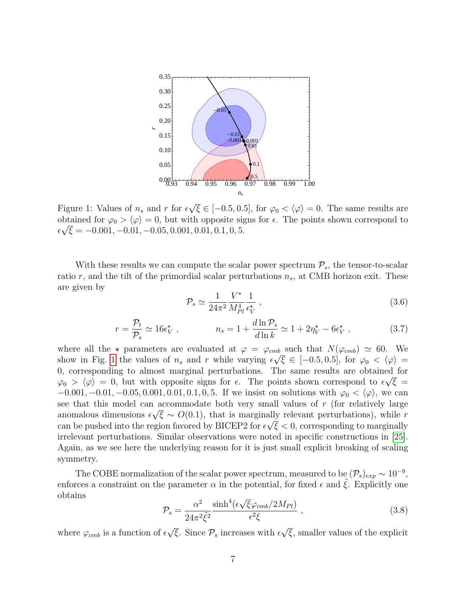<span id="page-7-0"></span>

Figure 1: Values of  $n_s$  and r for  $\epsilon$  $\overline{\xi} \in [-0.5, 0.5]$ , for  $\varphi_0 < \langle \varphi \rangle = 0$ . The same results are obtained for  $\varphi_0 > \langle \varphi \rangle = 0$ , but with opposite signs for  $\epsilon$ . The points shown correspond to  $\epsilon \sqrt{\xi} = -0.001, -0.01, -0.05, 0.001, 0.01, 0.1, 0, 5.$ 

With these results we can compute the scalar power spectrum  $P_s$ , the tensor-to-scalar ratio r, and the tilt of the primordial scalar perturbations  $n_s$ , at CMB horizon exit. These are given by

$$
\mathcal{P}_s \simeq \frac{1}{24\pi^2} \frac{V^\star}{M_{Pl}^4} \frac{1}{\epsilon_V^\star} \,, \tag{3.6}
$$

$$
r = \frac{\mathcal{P}_t}{\mathcal{P}_s} \simeq 16\epsilon_V^{\star} , \qquad n_s = 1 + \frac{d\ln \mathcal{P}_s}{d\ln k} \simeq 1 + 2\eta_V^{\star} - 6\epsilon_V^{\star} , \qquad (3.7)
$$

where all the  $\star$  parameters are evaluated at  $\varphi = \varphi_{cmb}$  such that  $N(\varphi_{cmb}) \simeq 60$ . We show in Fig. [1](#page-7-0) the values of  $n_s$  and r while varying  $\epsilon\sqrt{\xi} \in [-0.5, 0.5]$ , for  $\varphi_0 < \langle \varphi \rangle =$ 0, corresponding to almost marginal perturbations. The same results are obtained for  $\varphi_0 > \langle \varphi \rangle = 0$ , but with opposite signs for  $\epsilon$ . The points shown correspond to  $\epsilon \sqrt{\xi} =$  $-0.001, -0.01, -0.05, 0.001, 0.01, 0.1, 0.5$ . If we insist on solutions with  $\varphi_0 < \langle \varphi \rangle$ , we can see that this model can accommodate both very small values of r (for relatively large anomalous dimensions  $\epsilon \sqrt{\xi} \sim O(0.1)$ , that is marginally relevant perturbations), while r can be pushed into the region favored by BICEP2 for  $\epsilon\sqrt{\xi} < 0$ , corresponding to marginally irrelevant perturbations. Similar observations were noted in specific constructions in [\[25\]](#page-18-7). Again, as we see here the underlying reason for it is just small explicit breaking of scaling symmetry.

The COBE normalization of the scalar power spectrum, measured to be  $(\mathcal{P}_s)_{exp} \sim 10^{-9}$ , enforces a constraint on the parameter  $\alpha$  in the potential, for fixed  $\epsilon$  and  $\xi$ . Explicitly one obtains √

$$
\mathcal{P}_s = \frac{\alpha^2}{24\pi^2 \tilde{\xi}^2} \frac{\sinh^4(\epsilon \sqrt{\xi} \varphi_{cmb}/2M_{Pl})}{\epsilon^2 \xi} \,, \tag{3.8}
$$

where  $\varphi_{cmb}$  is a function of  $\epsilon$ √  $\overline{\xi}$ . Since  $\mathcal{P}_s$  increases with  $\epsilon$ √  $\overline{\xi}$ , smaller values of the explicit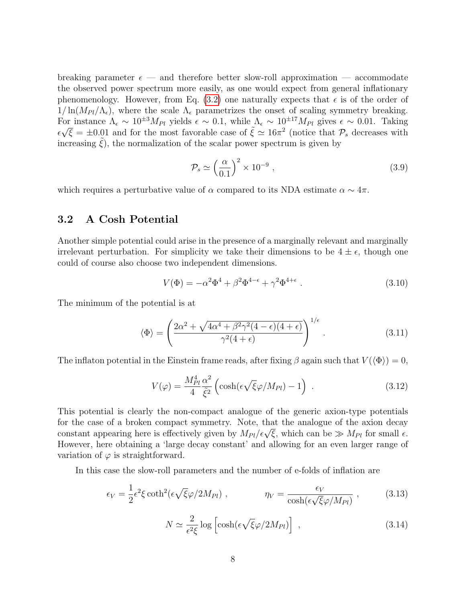breaking parameter  $\epsilon$  — and therefore better slow-roll approximation — accommodate the observed power spectrum more easily, as one would expect from general inflationary phenomenology. However, from Eq. [\(3.2\)](#page-6-1) one naturally expects that  $\epsilon$  is of the order of  $1/\ln(M_{Pl}/\Lambda_{\epsilon})$ , where the scale  $\Lambda_{\epsilon}$  parametrizes the onset of scaling symmetry breaking. For instance  $\Lambda_{\epsilon} \sim 10^{\pm 3} M_{Pl}$  yields  $\epsilon \sim 0.1$ , while  $\Lambda_{\epsilon} \sim 10^{\pm 17} M_{Pl}$  gives  $\epsilon \sim 0.01$ . Taking  $\epsilon\sqrt{\xi} = \pm 0.01$  and for the most favorable case of  $\tilde{\xi} \simeq 16\pi^2$  (notice that  $\mathcal{P}_s$  decreases with increasing  $\xi$ ), the normalization of the scalar power spectrum is given by

$$
\mathcal{P}_s \simeq \left(\frac{\alpha}{0.1}\right)^2 \times 10^{-9} ,\qquad (3.9)
$$

which requires a perturbative value of  $\alpha$  compared to its NDA estimate  $\alpha \sim 4\pi$ .

#### 3.2 A Cosh Potential

Another simple potential could arise in the presence of a marginally relevant and marginally irrelevant perturbation. For simplicity we take their dimensions to be  $4 \pm \epsilon$ , though one could of course also choose two independent dimensions.

$$
V(\Phi) = -\alpha^2 \Phi^4 + \beta^2 \Phi^{4-\epsilon} + \gamma^2 \Phi^{4+\epsilon} . \tag{3.10}
$$

The minimum of the potential is at

$$
\langle \Phi \rangle = \left( \frac{2\alpha^2 + \sqrt{4\alpha^4 + \beta^2 \gamma^2 (4 - \epsilon)(4 + \epsilon)}}{\gamma^2 (4 + \epsilon)} \right)^{1/\epsilon} . \tag{3.11}
$$

The inflaton potential in the Einstein frame reads, after fixing  $\beta$  again such that  $V(\langle \Phi \rangle) = 0$ ,

$$
V(\varphi) = \frac{M_{Pl}^4}{4} \frac{\alpha^2}{\tilde{\xi}^2} \left( \cosh(\epsilon \sqrt{\xi} \varphi / M_{Pl}) - 1 \right) \,. \tag{3.12}
$$

This potential is clearly the non-compact analogue of the generic axion-type potentials for the case of a broken compact symmetry. Note, that the analogue of the axion decay constant appearing here is effectively given by  $M_{Pl}/\epsilon\sqrt{\xi}$ , which can be  $\gg M_{Pl}$  for small  $\epsilon$ . However, here obtaining a 'large decay constant' and allowing for an even larger range of variation of  $\varphi$  is straightforward.

In this case the slow-roll parameters and the number of e-folds of inflation are

$$
\epsilon_V = \frac{1}{2} \epsilon^2 \xi \coth^2(\epsilon \sqrt{\xi} \varphi / 2M_{Pl}) \;, \qquad \eta_V = \frac{\epsilon_V}{\cosh(\epsilon \sqrt{\xi} \varphi / M_{Pl})} \;, \tag{3.13}
$$

$$
N \simeq \frac{2}{\epsilon^2 \xi} \log \left[ \cosh(\epsilon \sqrt{\xi} \varphi / 2M_{Pl}) \right] \tag{3.14}
$$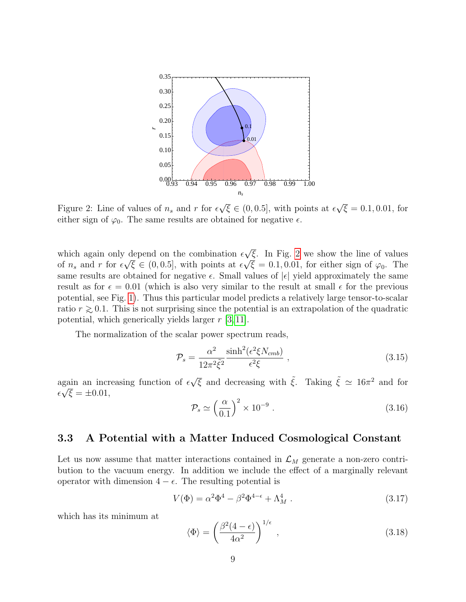<span id="page-9-0"></span>

Figure 2: Line of values of  $n_s$  and r for  $\epsilon$  $\overline{\xi} \in (0, 0.5]$ , with points at  $\epsilon$ √  $\overline{\xi} = 0.1, 0.01, \text{ for}$ either sign of  $\varphi_0$ . The same results are obtained for negative  $\epsilon$ .

which again only depend on the combination  $\epsilon$ √ depend on the combination  $\epsilon \sqrt{\xi}$ . In Fig. [2](#page-9-0) we show the line of values of  $n_s$  and r for  $\epsilon \sqrt{\xi} \in (0, 0.5]$ , with points at  $\epsilon \sqrt{\xi} = 0.1, 0.01$ , for either sign of  $\varphi_0$ . The same results are obtained for negative  $\epsilon$ . Small values of  $|\epsilon|$  yield approximately the same result as for  $\epsilon = 0.01$  (which is also very similar to the result at small  $\epsilon$  for the previous potential, see Fig. [1\)](#page-7-0). Thus this particular model predicts a relatively large tensor-to-scalar ratio  $r \gtrsim 0.1$ . This is not surprising since the potential is an extrapolation of the quadratic potential, which generically yields larger  $r$  [\[3,](#page-17-0)11].

The normalization of the scalar power spectrum reads,

$$
\mathcal{P}_s = \frac{\alpha^2}{12\pi^2 \tilde{\xi}^2} \frac{\sinh^2(\epsilon^2 \xi N_{cmb})}{\epsilon^2 \xi} , \qquad (3.15)
$$

again an increasing function of  $\epsilon$ gain an increasing function of  $\epsilon \sqrt{\xi}$  and decreasing with  $\tilde{\xi}$ . Taking  $\tilde{\xi} \simeq 16\pi^2$  and for  $\epsilon\sqrt{\xi} = \pm 0.01,$ 

$$
\mathcal{P}_s \simeq \left(\frac{\alpha}{0.1}\right)^2 \times 10^{-9} \ . \tag{3.16}
$$

## 3.3 A Potential with a Matter Induced Cosmological Constant

Let us now assume that matter interactions contained in  $\mathcal{L}_M$  generate a non-zero contribution to the vacuum energy. In addition we include the effect of a marginally relevant operator with dimension  $4 - \epsilon$ . The resulting potential is

$$
V(\Phi) = \alpha^2 \Phi^4 - \beta^2 \Phi^{4-\epsilon} + \Lambda_M^4 \tag{3.17}
$$

which has its minimum at

$$
\langle \Phi \rangle = \left(\frac{\beta^2 (4 - \epsilon)}{4\alpha^2}\right)^{1/\epsilon},\tag{3.18}
$$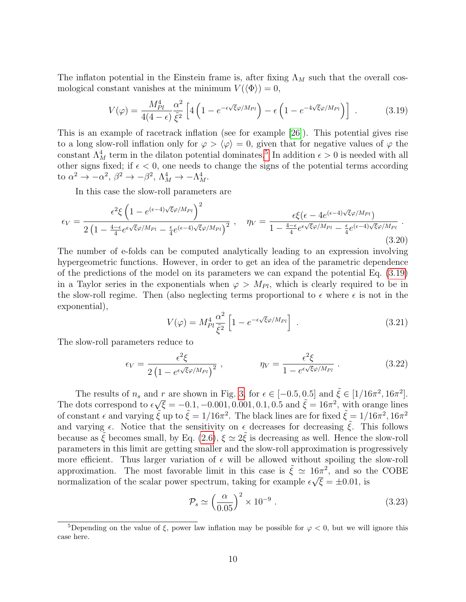The inflaton potential in the Einstein frame is, after fixing  $\Lambda_M$  such that the overall cosmological constant vanishes at the minimum  $V(\langle \Phi \rangle) = 0$ ,

<span id="page-10-1"></span>
$$
V(\varphi) = \frac{M_{Pl}^4}{4(4-\epsilon)} \frac{\alpha^2}{\tilde{\xi}^2} \left[ 4\left(1 - e^{-\epsilon\sqrt{\xi}\varphi/M_{Pl}}\right) - \epsilon \left(1 - e^{-4\sqrt{\xi}\varphi/M_{Pl}}\right) \right] \ . \tag{3.19}
$$

This is an example of racetrack inflation (see for example [\[26\]](#page-18-8)). This potential gives rise to a long slow-roll inflation only for  $\varphi > \langle \varphi \rangle = 0$ , given that for negative values of  $\varphi$  the constant  $\Lambda_M^4$  term in the dilaton potential dominates.<sup>[5](#page-10-0)</sup> In addition  $\epsilon > 0$  is needed with all other signs fixed; if  $\epsilon$  < 0, one needs to change the signs of the potential terms according to  $\alpha^2 \to -\alpha^2$ ,  $\beta^2 \to -\beta^2$ ,  $\Lambda_M^4 \to -\Lambda_M^4$ .

In this case the slow-roll parameters are

$$
\epsilon_V = \frac{\epsilon^2 \xi \left( 1 - e^{(\epsilon - 4)\sqrt{\xi}\varphi/M_{Pl}} \right)^2}{2 \left( 1 - \frac{4 - \epsilon}{4} e^{\epsilon \sqrt{\xi}\varphi/M_{Pl}} - \frac{\epsilon}{4} e^{(\epsilon - 4)\sqrt{\xi}\varphi/M_{Pl}} \right)^2}, \quad \eta_V = \frac{\epsilon \xi (\epsilon - 4e^{(\epsilon - 4)\sqrt{\xi}\varphi/M_{Pl}})}{1 - \frac{4 - \epsilon}{4} e^{\epsilon \sqrt{\xi}\varphi/M_{Pl}} - \frac{\epsilon}{4} e^{(\epsilon - 4)\sqrt{\xi}\varphi/M_{Pl}}}.
$$
\n(3.20)

The number of e-folds can be computed analytically leading to an expression involving hypergeometric functions. However, in order to get an idea of the parametric dependence of the predictions of the model on its parameters we can expand the potential Eq. [\(3.19\)](#page-10-1) in a Taylor series in the exponentials when  $\varphi > M_{Pl}$ , which is clearly required to be in the slow-roll regime. Then (also neglecting terms proportional to  $\epsilon$  where  $\epsilon$  is not in the exponential),

$$
V(\varphi) = M_{Pl}^4 \frac{\alpha^2}{\tilde{\xi}^2} \left[ 1 - e^{-\epsilon \sqrt{\xi} \varphi / M_{Pl}} \right] \,. \tag{3.21}
$$

The slow-roll parameters reduce to

$$
\epsilon_V = \frac{\epsilon^2 \xi}{2\left(1 - e^{\epsilon \sqrt{\xi} \varphi / M_{Pl}}\right)^2} \,, \qquad \qquad \eta_V = \frac{\epsilon^2 \xi}{1 - e^{\epsilon \sqrt{\xi} \varphi / M_{Pl}}} \,. \tag{3.22}
$$

The results of  $n_s$  and r are shown in Fig. [3,](#page-11-0) for  $\epsilon \in [-0.5, 0.5]$  and  $\tilde{\xi} \in [1/16\pi^2, 16\pi^2]$ . The dots correspond to  $\epsilon$  $\sqrt{\xi} = -0.1, -0.001, 0.001, 0.1, 0.5$  and  $\tilde{\xi} = 16\pi^2$ , with orange lines of constant  $\epsilon$  and varying  $\tilde{\xi}$  up to  $\tilde{\xi} = 1/16\pi^2$ . The black lines are for fixed  $\tilde{\xi} = 1/16\pi^2$ ,  $16\pi^2$ and varying  $\epsilon$ . Notice that the sensitivity on  $\epsilon$  decreases for decreasing  $\tilde{\xi}$ . This follows because as  $\tilde{\xi}$  becomes small, by Eq. [\(2.6\)](#page-4-2),  $\xi \simeq 2\tilde{\xi}$  is decreasing as well. Hence the slow-roll parameters in this limit are getting smaller and the slow-roll approximation is progressively more efficient. Thus larger variation of  $\epsilon$  will be allowed without spoiling the slow-roll approximation. The most favorable limit in this case is  $\tilde{\xi} \simeq 16\pi^2$ , and so the COBE normalization of the scalar power spectrum, taking for example  $\epsilon \sqrt{\xi} = \pm 0.01$ , is

$$
\mathcal{P}_s \simeq \left(\frac{\alpha}{0.05}\right)^2 \times 10^{-9} \ . \tag{3.23}
$$

<span id="page-10-0"></span><sup>&</sup>lt;sup>5</sup>Depending on the value of ξ, power law inflation may be possible for  $\varphi < 0$ , but we will ignore this case here.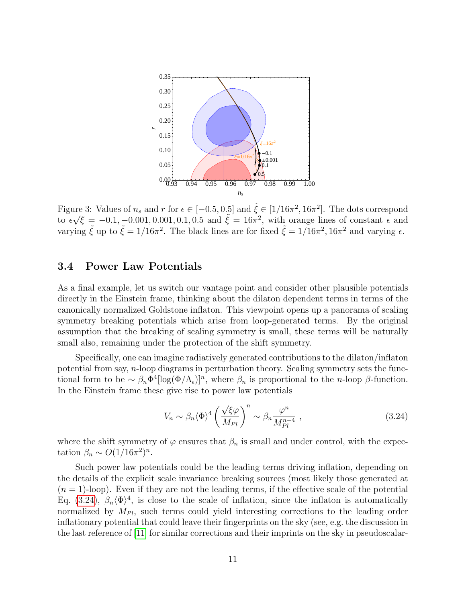<span id="page-11-0"></span>

Figure 3: Values of  $n_s$  and  $r$  for  $\epsilon \in [-0.5, 0.5]$  and  $\tilde{\xi} \in [1/16\pi^2, 16\pi^2]$ . The dots correspond to  $\epsilon \sqrt{\xi} = -0.1, -0.001, 0.001, 0.1, 0.5$  and  $\tilde{\xi} = 16\pi^2$ , with orange lines of constant  $\epsilon$  and varying  $\tilde{\xi}$  up to  $\tilde{\xi} = 1/16\pi^2$ . The black lines are for fixed  $\tilde{\xi} = 1/16\pi^2$ ,  $16\pi^2$  and varying  $\epsilon$ .

### 3.4 Power Law Potentials

As a final example, let us switch our vantage point and consider other plausible potentials directly in the Einstein frame, thinking about the dilaton dependent terms in terms of the canonically normalized Goldstone inflaton. This viewpoint opens up a panorama of scaling symmetry breaking potentials which arise from loop-generated terms. By the original assumption that the breaking of scaling symmetry is small, these terms will be naturally small also, remaining under the protection of the shift symmetry.

Specifically, one can imagine radiatively generated contributions to the dilaton/inflaton potential from say, n-loop diagrams in perturbation theory. Scaling symmetry sets the functional form to be  $\sim \beta_n \Phi^4[\log(\Phi/\Lambda_\epsilon)]^n$ , where  $\beta_n$  is proportional to the *n*-loop  $\beta$ -function. In the Einstein frame these give rise to power law potentials

<span id="page-11-1"></span>
$$
V_n \sim \beta_n \langle \Phi \rangle^4 \left( \frac{\sqrt{\xi} \varphi}{M_{Pl}} \right)^n \sim \beta_n \frac{\varphi^n}{M_{Pl}^{n-4}} , \qquad (3.24)
$$

where the shift symmetry of  $\varphi$  ensures that  $\beta_n$  is small and under control, with the expectation  $\beta_n \sim O(1/16\pi^2)^n$ .

Such power law potentials could be the leading terms driving inflation, depending on the details of the explicit scale invariance breaking sources (most likely those generated at  $(n = 1)$ -loop). Even if they are not the leading terms, if the effective scale of the potential Eq. [\(3.24\)](#page-11-1),  $\beta_n \langle \Phi \rangle^4$ , is close to the scale of inflation, since the inflaton is automatically normalized by  $M_{Pl}$ , such terms could yield interesting corrections to the leading order inflationary potential that could leave their fingerprints on the sky (see, e.g. the discussion in the last reference of [\[11\]](#page-17-6) for similar corrections and their imprints on the sky in pseudoscalar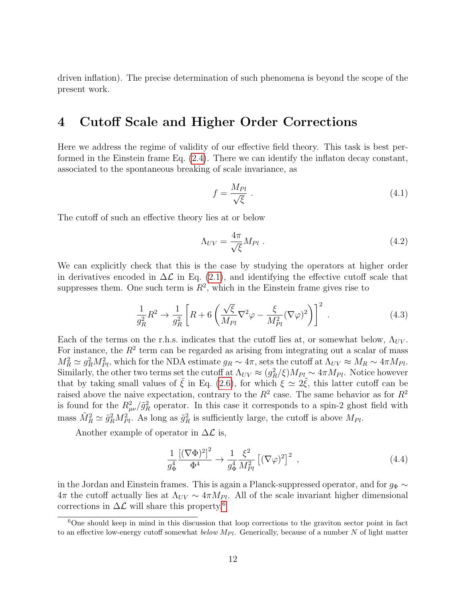driven inflation). The precise determination of such phenomena is beyond the scope of the present work.

# 4 Cutoff Scale and Higher Order Corrections

Here we address the regime of validity of our effective field theory. This task is best performed in the Einstein frame Eq. [\(2.4\)](#page-4-0). There we can identify the inflaton decay constant, associated to the spontaneous breaking of scale invariance, as

$$
f = \frac{M_{Pl}}{\sqrt{\xi}} \tag{4.1}
$$

The cutoff of such an effective theory lies at or below

$$
\Lambda_{UV} = \frac{4\pi}{\sqrt{\xi}} M_{Pl} \tag{4.2}
$$

We can explicitly check that this is the case by studying the operators at higher order in derivatives encoded in  $\Delta \mathcal{L}$  in Eq. [\(2.1\)](#page-3-2), and identifying the effective cutoff scale that suppresses them. One such term is  $R^2$ , which in the Einstein frame gives rise to

$$
\frac{1}{g_R^2} R^2 \to \frac{1}{g_R^2} \left[ R + 6 \left( \frac{\sqrt{\xi}}{M_{Pl}} \nabla^2 \varphi - \frac{\xi}{M_{Pl}^2} (\nabla \varphi)^2 \right) \right]^2 \tag{4.3}
$$

Each of the terms on the r.h.s. indicates that the cutoff lies at, or somewhat below,  $\Lambda_{UV}$ . For instance, the  $R<sup>2</sup>$  term can be regarded as arising from integrating out a scalar of mass  $M_R^2 \simeq g_R^2 M_{Pl}^2$ , which for the NDA estimate  $g_R \sim 4\pi$ , sets the cutoff at  $\Lambda_{UV} \approx M_R \sim 4\pi M_{Pl}$ . Similarly, the other two terms set the cutoff at  $\Lambda_{UV} \approx (g_R^2/\xi) M_{Pl} \sim 4\pi M_{Pl}$ . Notice however that by taking small values of  $\tilde{\xi}$  in Eq. [\(2.6\)](#page-4-2), for which  $\xi \simeq 2\tilde{\xi}$ , this latter cutoff can be raised above the naive expectation, contrary to the  $R^2$  case. The same behavior as for  $R^2$ is found for the  $R_{\mu\nu}^2/\tilde{g}_R^2$  operator. In this case it corresponds to a spin-2 ghost field with mass  $\tilde{M}_R^2 \simeq \tilde{g}_R^2 M_{Pl}^2$ . As long as  $\tilde{g}_R^2$  is sufficiently large, the cutoff is above  $M_{Pl}$ .

Another example of operator in  $\Delta \mathcal{L}$  is,

$$
\frac{1}{g_{\Phi}^4} \frac{\left[ (\nabla \Phi)^2 \right]^2}{\Phi^4} \to \frac{1}{g_{\Phi}^4} \frac{\xi^2}{M_{Pl}^2} \left[ (\nabla \varphi)^2 \right]^2 \,, \tag{4.4}
$$

in the Jordan and Einstein frames. This is again a Planck-suppressed operator, and for  $g_{\Phi} \sim$  $4\pi$  the cutoff actually lies at  $\Lambda_{UV} \sim 4\pi M_{Pl}$ . All of the scale invariant higher dimensional corrections in  $\Delta \mathcal{L}$  will share this property.<sup>[6](#page-12-0)</sup>

<span id="page-12-0"></span> $6$ One should keep in mind in this discussion that loop corrections to the graviton sector point in fact to an effective low-energy cutoff somewhat below  $M_{Pl}$ . Generically, because of a number N of light matter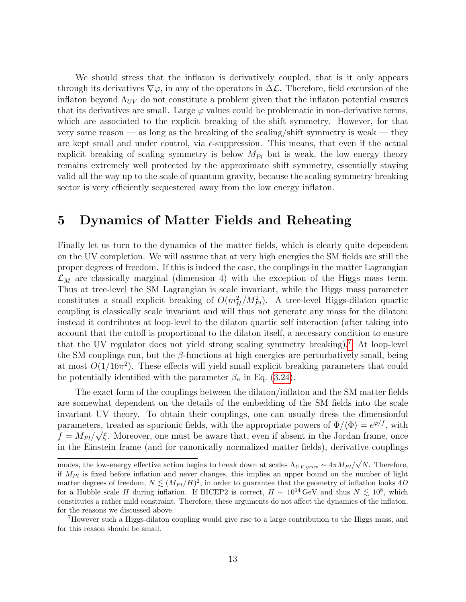We should stress that the inflaton is derivatively coupled, that is it only appears through its derivatives  $\nabla \varphi$ , in any of the operators in  $\Delta \mathcal{L}$ . Therefore, field excursion of the inflaton beyond  $\Lambda_{UV}$  do not constitute a problem given that the inflaton potential ensures that its derivatives are small. Large  $\varphi$  values could be problematic in non-derivative terms, which are associated to the explicit breaking of the shift symmetry. However, for that very same reason — as long as the breaking of the scaling/shift symmetry is weak — they are kept small and under control, via  $\epsilon$ -suppression. This means, that even if the actual explicit breaking of scaling symmetry is below  $M_{Pl}$  but is weak, the low energy theory remains extremely well protected by the approximate shift symmetry, essentially staying valid all the way up to the scale of quantum gravity, because the scaling symmetry breaking sector is very efficiently sequestered away from the low energy inflaton.

## 5 Dynamics of Matter Fields and Reheating

Finally let us turn to the dynamics of the matter fields, which is clearly quite dependent on the UV completion. We will assume that at very high energies the SM fields are still the proper degrees of freedom. If this is indeed the case, the couplings in the matter Lagrangian  $\mathcal{L}_M$  are classically marginal (dimension 4) with the exception of the Higgs mass term. Thus at tree-level the SM Lagrangian is scale invariant, while the Higgs mass parameter constitutes a small explicit breaking of  $O(m_H^2/M_{Pl}^2)$ . A tree-level Higgs-dilaton quartic coupling is classically scale invariant and will thus not generate any mass for the dilaton: instead it contributes at loop-level to the dilaton quartic self interaction (after taking into account that the cutoff is proportional to the dilaton itself, a necessary condition to ensure that the UV regulator does not yield strong scaling symmetry breaking).[7](#page-13-0) At loop-level the SM couplings run, but the  $\beta$ -functions at high energies are perturbatively small, being at most  $O(1/16\pi^2)$ . These effects will yield small explicit breaking parameters that could be potentially identified with the parameter  $\beta_n$  in Eq. [\(3.24\)](#page-11-1).

The exact form of the couplings between the dilaton/inflaton and the SM matter fields are somewhat dependent on the details of the embedding of the SM fields into the scale invariant UV theory. To obtain their couplings, one can usually dress the dimensionful parameters, treated as spurionic fields, with the appropriate powers of  $\Phi/\langle \Phi \rangle = e^{\varphi/f}$ , with  $f = M_{Pl}/\sqrt{\xi}$ . Moreover, one must be aware that, even if absent in the Jordan frame, once in the Einstein frame (and for canonically normalized matter fields), derivative couplings

modes, the low-energy effective action begins to break down at scales  $\Lambda_{UV,grav} \sim 4\pi M_{Pl}/v$ √ N. Therefore, if  $M_{Pl}$  is fixed before inflation and never changes, this implies an upper bound on the number of light matter degrees of freedom,  $N \lesssim (M_{Pl}/H)^2$ , in order to guarantee that the geometry of inflation looks 4D for a Hubble scale H during inflation. If BICEP2 is correct,  $H \sim 10^{14} \text{ GeV}$  and thus  $N \lesssim 10^8$ , which constitutes a rather mild constraint. Therefore, these arguments do not affect the dynamics of the inflaton, for the reasons we discussed above.

<span id="page-13-0"></span><sup>7</sup>However such a Higgs-dilaton coupling would give rise to a large contribution to the Higgs mass, and for this reason should be small.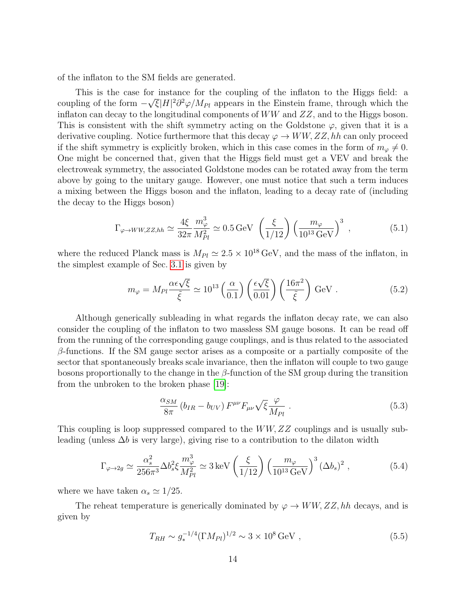of the inflaton to the SM fields are generated.

This is the case for instance for the coupling of the inflaton to the Higgs field: a coupling of the form  $-\sqrt{\xi}|H|^2\partial^2\varphi/M_{Pl}$  appears in the Einstein frame, through which the inflaton can decay to the longitudinal components of  $WW$  and  $ZZ$ , and to the Higgs boson. This is consistent with the shift symmetry acting on the Goldstone  $\varphi$ , given that it is a derivative coupling. Notice furthermore that this decay  $\varphi \to WW, ZZ, hh$  can only proceed if the shift symmetry is explicitly broken, which in this case comes in the form of  $m_{\varphi} \neq 0$ . One might be concerned that, given that the Higgs field must get a VEV and break the electroweak symmetry, the associated Goldstone modes can be rotated away from the term above by going to the unitary gauge. However, one must notice that such a term induces a mixing between the Higgs boson and the inflaton, leading to a decay rate of (including the decay to the Higgs boson)

$$
\Gamma_{\varphi \to WW, ZZ, hh} \simeq \frac{4\xi}{32\pi} \frac{m_{\varphi}^3}{M_{Pl}^2} \simeq 0.5 \,\text{GeV} \, \left(\frac{\xi}{1/12}\right) \left(\frac{m_{\varphi}}{10^{13} \,\text{GeV}}\right)^3 \,, \tag{5.1}
$$

where the reduced Planck mass is  $M_{Pl} \simeq 2.5 \times 10^{18} \text{ GeV}$ , and the mass of the inflaton, in the simplest example of Sec. [3.1](#page-5-2) is given by

$$
m_{\varphi} = M_{Pl} \frac{\alpha \epsilon \sqrt{\xi}}{\tilde{\xi}} \simeq 10^{13} \left(\frac{\alpha}{0.1}\right) \left(\frac{\epsilon \sqrt{\xi}}{0.01}\right) \left(\frac{16\pi^2}{\tilde{\xi}}\right) \text{GeV} . \tag{5.2}
$$

Although generically subleading in what regards the inflaton decay rate, we can also consider the coupling of the inflaton to two massless SM gauge bosons. It can be read off from the running of the corresponding gauge couplings, and is thus related to the associated  $\beta$ -functions. If the SM gauge sector arises as a composite or a partially composite of the sector that spontaneously breaks scale invariance, then the inflaton will couple to two gauge bosons proportionally to the change in the  $\beta$ -function of the SM group during the transition from the unbroken to the broken phase [\[19\]](#page-18-1):

$$
\frac{\alpha_{SM}}{8\pi} \left( b_{IR} - b_{UV} \right) F^{\mu\nu} F_{\mu\nu} \sqrt{\xi} \frac{\varphi}{M_{Pl}} \tag{5.3}
$$

This coupling is loop suppressed compared to the WW, ZZ couplings and is usually subleading (unless  $\Delta b$  is very large), giving rise to a contribution to the dilaton width

$$
\Gamma_{\varphi \to 2g} \simeq \frac{\alpha_s^2}{256\pi^3} \Delta b_s^2 \xi \frac{m_\varphi^3}{M_{Pl}^2} \simeq 3 \,\text{keV} \left(\frac{\xi}{1/12}\right) \left(\frac{m_\varphi}{10^{13} \,\text{GeV}}\right)^3 (\Delta b_s)^2 \,,\tag{5.4}
$$

where we have taken  $\alpha_s \simeq 1/25$ .

The reheat temperature is generically dominated by  $\varphi \to WW, ZZ, hh$  decays, and is given by

$$
T_{RH} \sim g_*^{-1/4} (\Gamma M_{Pl})^{1/2} \sim 3 \times 10^8 \,\text{GeV} \,, \tag{5.5}
$$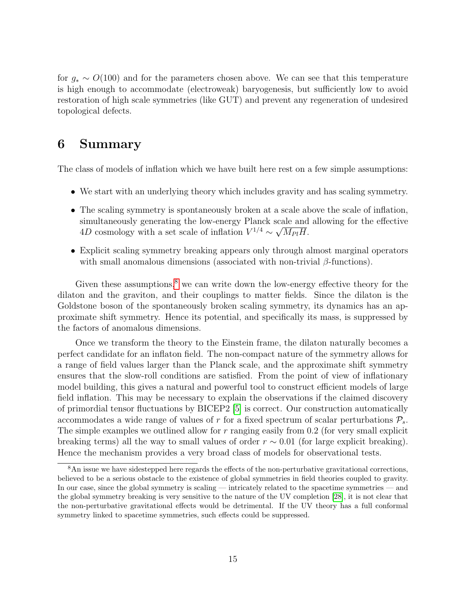for  $g_* \sim O(100)$  and for the parameters chosen above. We can see that this temperature is high enough to accommodate (electroweak) baryogenesis, but sufficiently low to avoid restoration of high scale symmetries (like GUT) and prevent any regeneration of undesired topological defects.

# 6 Summary

The class of models of inflation which we have built here rest on a few simple assumptions:

- We start with an underlying theory which includes gravity and has scaling symmetry.
- The scaling symmetry is spontaneously broken at a scale above the scale of inflation, simultaneously generating the low-energy Planck scale and allowing for the effective 4D cosmology with a set scale of inflation  $V^{1/4} \sim \sqrt{M_{Pl}H}$ .
- Explicit scaling symmetry breaking appears only through almost marginal operators with small anomalous dimensions (associated with non-trivial  $\beta$ -functions).

Given these assumptions,<sup>[8](#page-15-0)</sup> we can write down the low-energy effective theory for the dilaton and the graviton, and their couplings to matter fields. Since the dilaton is the Goldstone boson of the spontaneously broken scaling symmetry, its dynamics has an approximate shift symmetry. Hence its potential, and specifically its mass, is suppressed by the factors of anomalous dimensions.

Once we transform the theory to the Einstein frame, the dilaton naturally becomes a perfect candidate for an inflaton field. The non-compact nature of the symmetry allows for a range of field values larger than the Planck scale, and the approximate shift symmetry ensures that the slow-roll conditions are satisfied. From the point of view of inflationary model building, this gives a natural and powerful tool to construct efficient models of large field inflation. This may be necessary to explain the observations if the claimed discovery of primordial tensor fluctuations by BICEP2 [\[5\]](#page-17-2) is correct. Our construction automatically accommodates a wide range of values of r for a fixed spectrum of scalar perturbations  $P_s$ . The simple examples we outlined allow for  $r$  ranging easily from 0.2 (for very small explicit breaking terms) all the way to small values of order  $r \sim 0.01$  (for large explicit breaking). Hence the mechanism provides a very broad class of models for observational tests.

<span id="page-15-0"></span><sup>&</sup>lt;sup>8</sup>An issue we have sidestepped here regards the effects of the non-perturbative gravitational corrections, believed to be a serious obstacle to the existence of global symmetries in field theories coupled to gravity. In our case, since the global symmetry is scaling — intricately related to the spacetime symmetries — and the global symmetry breaking is very sensitive to the nature of the UV completion [\[28\]](#page-18-9), it is not clear that the non-perturbative gravitational effects would be detrimental. If the UV theory has a full conformal symmetry linked to spacetime symmetries, such effects could be suppressed.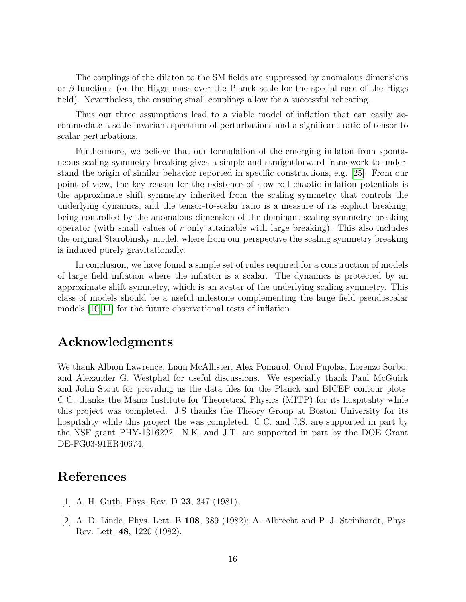The couplings of the dilaton to the SM fields are suppressed by anomalous dimensions or  $\beta$ -functions (or the Higgs mass over the Planck scale for the special case of the Higgs field). Nevertheless, the ensuing small couplings allow for a successful reheating.

Thus our three assumptions lead to a viable model of inflation that can easily accommodate a scale invariant spectrum of perturbations and a significant ratio of tensor to scalar perturbations.

Furthermore, we believe that our formulation of the emerging inflaton from spontaneous scaling symmetry breaking gives a simple and straightforward framework to understand the origin of similar behavior reported in specific constructions, e.g. [\[25\]](#page-18-7). From our point of view, the key reason for the existence of slow-roll chaotic inflation potentials is the approximate shift symmetry inherited from the scaling symmetry that controls the underlying dynamics, and the tensor-to-scalar ratio is a measure of its explicit breaking, being controlled by the anomalous dimension of the dominant scaling symmetry breaking operator (with small values of  $r$  only attainable with large breaking). This also includes the original Starobinsky model, where from our perspective the scaling symmetry breaking is induced purely gravitationally.

In conclusion, we have found a simple set of rules required for a construction of models of large field inflation where the inflaton is a scalar. The dynamics is protected by an approximate shift symmetry, which is an avatar of the underlying scaling symmetry. This class of models should be a useful milestone complementing the large field pseudoscalar models [\[10,](#page-17-12) [11\]](#page-17-6) for the future observational tests of inflation.

## Acknowledgments

We thank Albion Lawrence, Liam McAllister, Alex Pomarol, Oriol Pujolas, Lorenzo Sorbo, and Alexander G. Westphal for useful discussions. We especially thank Paul McGuirk and John Stout for providing us the data files for the Planck and BICEP contour plots. C.C. thanks the Mainz Institute for Theoretical Physics (MITP) for its hospitality while this project was completed. J.S thanks the Theory Group at Boston University for its hospitality while this project the was completed. C.C. and J.S. are supported in part by the NSF grant PHY-1316222. N.K. and J.T. are supported in part by the DOE Grant DE-FG03-91ER40674.

## References

- <span id="page-16-0"></span>[1] A. H. Guth, Phys. Rev. D 23, 347 (1981).
- [2] A. D. Linde, Phys. Lett. B 108, 389 (1982); A. Albrecht and P. J. Steinhardt, Phys. Rev. Lett. 48, 1220 (1982).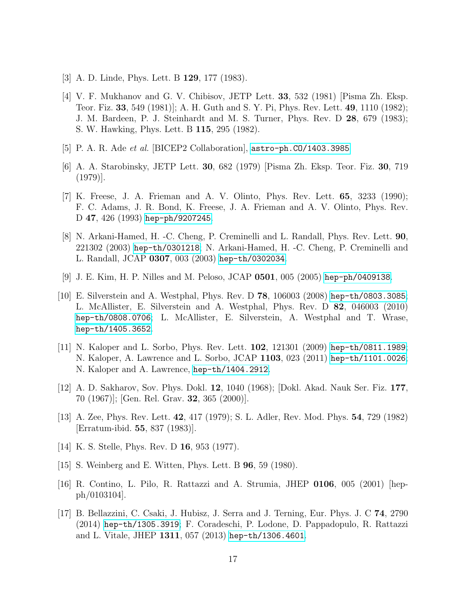- <span id="page-17-0"></span>[3] A. D. Linde, Phys. Lett. B 129, 177 (1983).
- <span id="page-17-1"></span>[4] V. F. Mukhanov and G. V. Chibisov, JETP Lett. 33, 532 (1981) [Pisma Zh. Eksp. Teor. Fiz. 33, 549 (1981)]; A. H. Guth and S. Y. Pi, Phys. Rev. Lett. 49, 1110 (1982); J. M. Bardeen, P. J. Steinhardt and M. S. Turner, Phys. Rev. D 28, 679 (1983); S. W. Hawking, Phys. Lett. B 115, 295 (1982).
- <span id="page-17-2"></span>[5] P. A. R. Ade *et al.* [BICEP2 Collaboration],  $astro-ph.C0/1403.3985$
- <span id="page-17-3"></span>[6] A. A. Starobinsky, JETP Lett. 30, 682 (1979) [Pisma Zh. Eksp. Teor. Fiz. 30, 719 (1979)].
- <span id="page-17-4"></span>[7] K. Freese, J. A. Frieman and A. V. Olinto, Phys. Rev. Lett. 65, 3233 (1990); F. C. Adams, J. R. Bond, K. Freese, J. A. Frieman and A. V. Olinto, Phys. Rev. D 47, 426 (1993) [hep-ph/9207245](http://arxiv.org/pdf/hep-ph/9207245).
- [8] N. Arkani-Hamed, H. -C. Cheng, P. Creminelli and L. Randall, Phys. Rev. Lett. 90, 221302 (2003) [hep-th/0301218](http://arxiv.org/pdf/hep-th/0301218); N. Arkani-Hamed, H. -C. Cheng, P. Creminelli and L. Randall, JCAP 0307, 003 (2003) [hep-th/0302034](http://arxiv.org/pdf/hep-th/0302034).
- <span id="page-17-5"></span>[9] J. E. Kim, H. P. Nilles and M. Peloso, JCAP 0501, 005 (2005) [hep-ph/0409138](http://arxiv.org/pdf/hep-ph/0409138).
- <span id="page-17-12"></span>[10] E. Silverstein and A. Westphal, Phys. Rev. D 78, 106003 (2008) [hep-th/0803.3085](http://arxiv.org/pdf/0803.3085); L. McAllister, E. Silverstein and A. Westphal, Phys. Rev. D 82, 046003 (2010) [hep-th/0808.0706](http://arxiv.org/pdf/0808.0706); L. McAllister, E. Silverstein, A. Westphal and T. Wrase, [hep-th/1405.3652](http://arxiv.org/pdf/1405.3652).
- <span id="page-17-6"></span>[11] N. Kaloper and L. Sorbo, Phys. Rev. Lett. 102, 121301 (2009) [hep-th/0811.1989](http://arxiv.org/pdf/0811.1989); N. Kaloper, A. Lawrence and L. Sorbo, JCAP 1103, 023 (2011) [hep-th/1101.0026](http://arxiv.org/pdf/1101.0026); N. Kaloper and A. Lawrence, [hep-th/1404.2912](http://arxiv.org/pdf/1404.2912).
- <span id="page-17-7"></span>[12] A. D. Sakharov, Sov. Phys. Dokl. 12, 1040 (1968); [Dokl. Akad. Nauk Ser. Fiz. 177, 70 (1967)]; [Gen. Rel. Grav. 32, 365 (2000)].
- <span id="page-17-8"></span>[13] A. Zee, Phys. Rev. Lett. 42, 417 (1979); S. L. Adler, Rev. Mod. Phys. 54, 729 (1982) [Erratum-ibid. 55, 837 (1983)].
- [14] K. S. Stelle, Phys. Rev. D **16**, 953 (1977).
- <span id="page-17-9"></span>[15] S. Weinberg and E. Witten, Phys. Lett. B 96, 59 (1980).
- <span id="page-17-10"></span>[16] R. Contino, L. Pilo, R. Rattazzi and A. Strumia, JHEP 0106, 005 (2001) [hepph/0103104].
- <span id="page-17-11"></span>[17] B. Bellazzini, C. Csaki, J. Hubisz, J. Serra and J. Terning, Eur. Phys. J. C 74, 2790 (2014) [hep-th/1305.3919](http://arxiv.org/pdf/1305.3919); F. Coradeschi, P. Lodone, D. Pappadopulo, R. Rattazzi and L. Vitale, JHEP 1311, 057 (2013) [hep-th/1306.4601](http://arxiv.org/pdf/1306.4601).